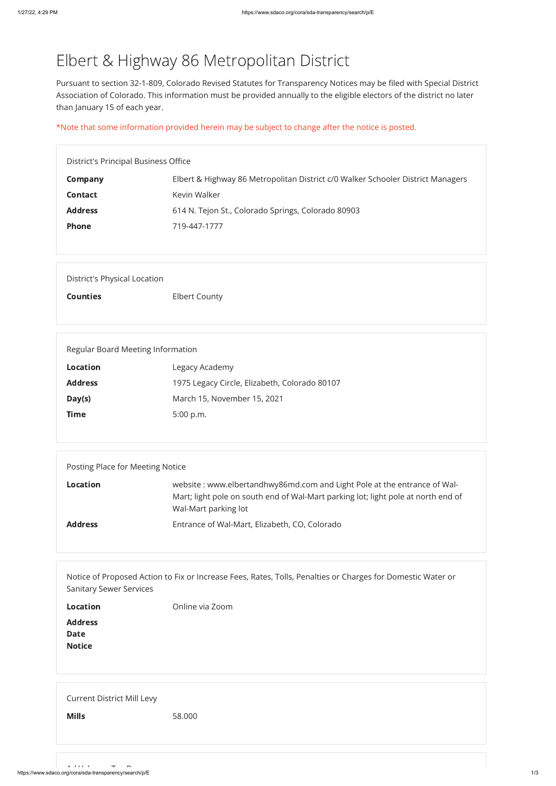## Elbert & Highway 86 Metropolitan District

Pursuant to section 32-1-809, Colorado Revised Statutes for Transparency Notices may be filed with Special District Association of Colorado. This information must be provided annually to the eligible electors of the district no later than January 15 of each year.

\*Note that some information provided herein may be subject to change after the notice is posted.

| District's Principal Business Office |                                                                                 |  |
|--------------------------------------|---------------------------------------------------------------------------------|--|
| Company                              | Elbert & Highway 86 Metropolitan District c/0 Walker Schooler District Managers |  |
| <b>Contact</b>                       | Kevin Walker                                                                    |  |
| <b>Address</b>                       | 614 N. Tejon St., Colorado Springs, Colorado 80903                              |  |
| <b>Phone</b>                         | 719-447-1777                                                                    |  |
|                                      |                                                                                 |  |

| <b>Burnear</b> y Betwer Bervices               |                 |
|------------------------------------------------|-----------------|
| <b>Location</b>                                | Online via Zoom |
| <b>Address</b><br><b>Date</b><br><b>Notice</b> |                 |
| <b>Current District Mill Levy</b>              |                 |

Counties Elbert County

https://www.sdaco.org/cora/sda-transparency/search/p/E 1/3 Ad V l T R

**Mills** 58.000

| Regular Board Meeting Information |                                               |  |
|-----------------------------------|-----------------------------------------------|--|
| <b>Location</b>                   | Legacy Academy                                |  |
| <b>Address</b>                    | 1975 Legacy Circle, Elizabeth, Colorado 80107 |  |
| Day(s)                            | March 15, November 15, 2021                   |  |
| <b>Time</b>                       | 5:00 p.m.                                     |  |
|                                   |                                               |  |

| Posting Place for Meeting Notice |                                                                                                                                                                                       |  |
|----------------------------------|---------------------------------------------------------------------------------------------------------------------------------------------------------------------------------------|--|
| <b>Location</b>                  | website: www.elbertandhwy86md.com and Light Pole at the entrance of Wal-<br>Mart; light pole on south end of Wal-Mart parking lot; light pole at north end of<br>Wal-Mart parking lot |  |
| <b>Address</b>                   | Entrance of Wal-Mart, Elizabeth, CO, Colorado                                                                                                                                         |  |

Notice of Proposed Action to Fix or Increase Fees, Rates, Tolls, Penalties or Charges for Domestic Water or Sanitary Sewer Services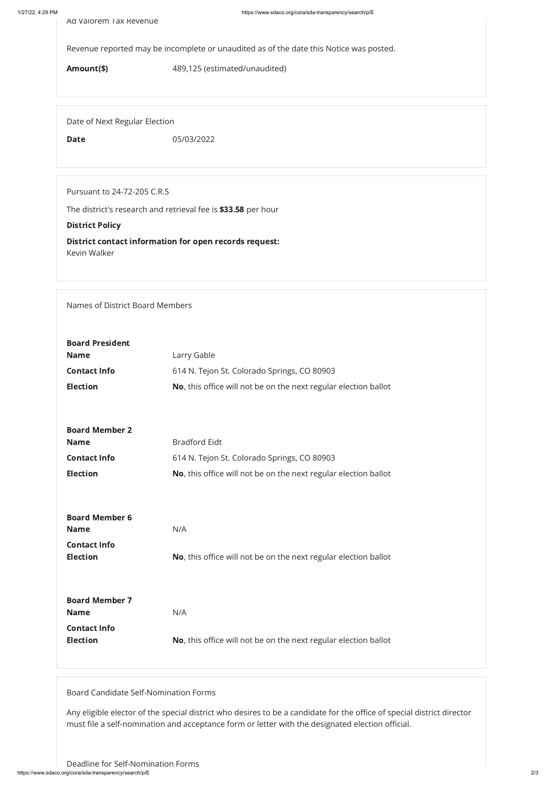Revenue reported may be incomplete or unaudited as of the date this Notice was posted.

Amount(\$) 489,125 (estimated/unaudited)

Date of Next Regular Election

Date 05/03/2022

Pursuant to 24-72-205 C.R.S

The district's research and retrieval fee is \$33.58 per hour

## District Policy

District contact information for open records request: Kevin Walker

Names of District Board Members

https://www.sdaco.org/cora/sda-transparency/search/p/E 2/3 Deadline for Self-Nomination Forms

| <b>Board President</b><br><b>Name</b>  | Larry Gable                                                     |  |
|----------------------------------------|-----------------------------------------------------------------|--|
| <b>Contact Info</b>                    | 614 N. Tejon St. Colorado Springs, CO 80903                     |  |
| <b>Election</b>                        | No, this office will not be on the next regular election ballot |  |
|                                        |                                                                 |  |
| <b>Board Member 2</b>                  |                                                                 |  |
| <b>Name</b>                            | <b>Bradford Eidt</b>                                            |  |
| <b>Contact Info</b>                    | 614 N. Tejon St. Colorado Springs, CO 80903                     |  |
| <b>Election</b>                        | No, this office will not be on the next regular election ballot |  |
|                                        |                                                                 |  |
| <b>Board Member 6</b>                  |                                                                 |  |
| <b>Name</b>                            | N/A                                                             |  |
| <b>Contact Info</b><br><b>Election</b> | No, this office will not be on the next regular election ballot |  |

| <b>Board Member 7</b> |                                                                         |
|-----------------------|-------------------------------------------------------------------------|
| <b>Name</b>           | N/A                                                                     |
| <b>Contact Info</b>   |                                                                         |
| <b>Election</b>       | <b>No</b> , this office will not be on the next regular election ballot |

Board Candidate Self-Nomination Forms

Any eligible elector of the special district who desires to be a candidate for the office of special district director must file a self-nomination and acceptance form or letter with the designated election official.